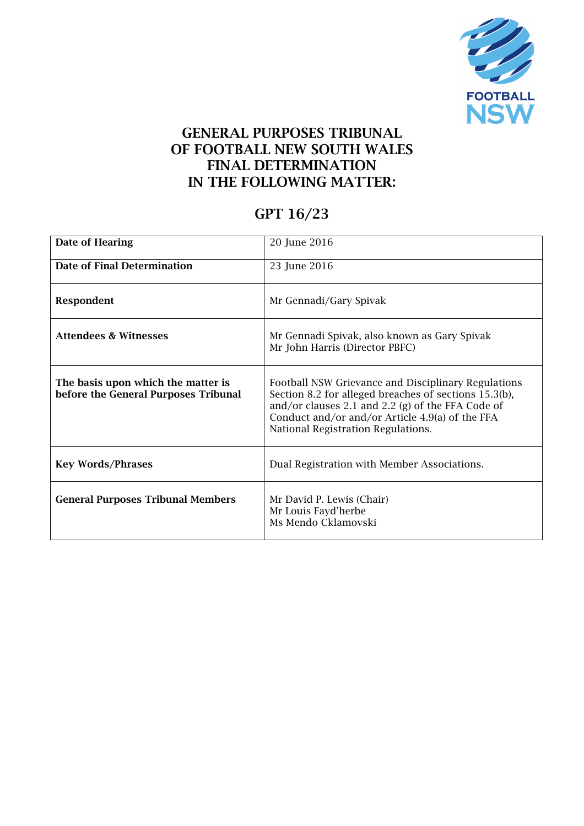

### GENERAL PURPOSES TRIBUNAL OF FOOTBALL NEW SOUTH WALES FINAL DETERMINATION IN THE FOLLOWING MATTER:

## GPT 16/23

| Date of Hearing                                                            | 20 June 2016                                                                                                                                                                                                                                               |
|----------------------------------------------------------------------------|------------------------------------------------------------------------------------------------------------------------------------------------------------------------------------------------------------------------------------------------------------|
| Date of Final Determination                                                | 23 June 2016                                                                                                                                                                                                                                               |
| Respondent                                                                 | Mr Gennadi/Gary Spivak                                                                                                                                                                                                                                     |
| <b>Attendees &amp; Witnesses</b>                                           | Mr Gennadi Spivak, also known as Gary Spivak<br>Mr John Harris (Director PBFC)                                                                                                                                                                             |
| The basis upon which the matter is<br>before the General Purposes Tribunal | Football NSW Grievance and Disciplinary Regulations<br>Section 8.2 for alleged breaches of sections 15.3(b),<br>and/or clauses 2.1 and 2.2 (g) of the FFA Code of<br>Conduct and/or and/or Article 4.9(a) of the FFA<br>National Registration Regulations. |
| <b>Key Words/Phrases</b>                                                   | Dual Registration with Member Associations.                                                                                                                                                                                                                |
| <b>General Purposes Tribunal Members</b>                                   | Mr David P. Lewis (Chair)<br>Mr Louis Fayd'herbe<br>Ms Mendo Cklamovski                                                                                                                                                                                    |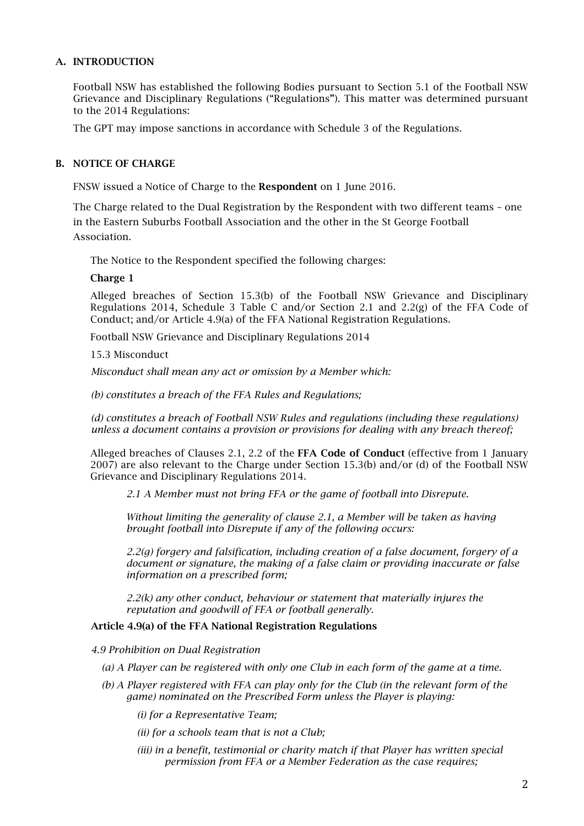#### A. INTRODUCTION

Football NSW has established the following Bodies pursuant to Section 5.1 of the Football NSW Grievance and Disciplinary Regulations ("Regulations"). This matter was determined pursuant to the 2014 Regulations:

The GPT may impose sanctions in accordance with Schedule 3 of the Regulations.

#### B. NOTICE OF CHARGE

FNSW issued a Notice of Charge to the Respondent on 1 June 2016.

The Charge related to the Dual Registration by the Respondent with two different teams – one in the Eastern Suburbs Football Association and the other in the St George Football Association.

The Notice to the Respondent specified the following charges:

#### Charge 1

Alleged breaches of Section 15.3(b) of the Football NSW Grievance and Disciplinary Regulations 2014, Schedule 3 Table C and/or Section 2.1 and 2.2(g) of the FFA Code of Conduct; and/or Article 4.9(a) of the FFA National Registration Regulations.

Football NSW Grievance and Disciplinary Regulations 2014

15.3 Misconduct

*Misconduct shall mean any act or omission by a Member which:* 

*(b) constitutes a breach of the FFA Rules and Regulations;* 

*(d) constitutes a breach of Football NSW Rules and regulations (including these regulations) unless a document contains a provision or provisions for dealing with any breach thereof;* 

Alleged breaches of Clauses 2.1, 2.2 of the FFA Code of Conduct (effective from 1 January 2007) are also relevant to the Charge under Section 15.3(b) and/or (d) of the Football NSW Grievance and Disciplinary Regulations 2014.

*2.1 A Member must not bring FFA or the game of football into Disrepute.*

*Without limiting the generality of clause 2.1, a Member will be taken as having brought football into Disrepute if any of the following occurs:*

*2.2(g) forgery and falsification, including creation of a false document, forgery of a document or signature, the making of a false claim or providing inaccurate or false information on a prescribed form;*

*2.2(k) any other conduct, behaviour or statement that materially injures the reputation and goodwill of FFA or football generally.* 

#### Article 4.9(a) of the FFA National Registration Regulations

#### *4.9 Prohibition on Dual Registration*

- *(a) A Player can be registered with only one Club in each form of the game at a time.*
- *(b) A Player registered with FFA can play only for the Club (in the relevant form of the game) nominated on the Prescribed Form unless the Player is playing:*

*(i) for a Representative Team;* 

- *(ii) for a schools team that is not a Club;*
- *(iii) in a benefit, testimonial or charity match if that Player has written special permission from FFA or a Member Federation as the case requires;*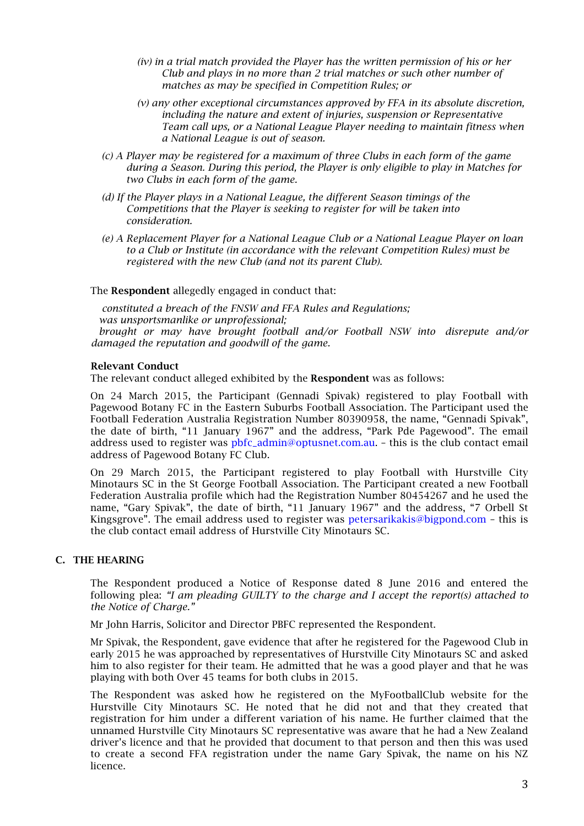- *(iv) in a trial match provided the Player has the written permission of his or her Club and plays in no more than 2 trial matches or such other number of matches as may be specified in Competition Rules; or*
- *(v) any other exceptional circumstances approved by FFA in its absolute discretion, including the nature and extent of injuries, suspension or Representative Team call ups, or a National League Player needing to maintain fitness when a National League is out of season.*
- *(c) A Player may be registered for a maximum of three Clubs in each form of the game during a Season. During this period, the Player is only eligible to play in Matches for two Clubs in each form of the game.*
- *(d) If the Player plays in a National League, the different Season timings of the Competitions that the Player is seeking to register for will be taken into consideration.*
- *(e) A Replacement Player for a National League Club or a National League Player on loan to a Club or Institute (in accordance with the relevant Competition Rules) must be registered with the new Club (and not its parent Club).*

The **Respondent** allegedly engaged in conduct that:

 *constituted a breach of the FNSW and FFA Rules and Regulations; was unsportsmanlike or unprofessional; brought or may have brought football and/or Football NSW into disrepute and/or damaged the reputation and goodwill of the game.* 

#### Relevant Conduct

The relevant conduct alleged exhibited by the Respondent was as follows:

On 24 March 2015, the Participant (Gennadi Spivak) registered to play Football with Pagewood Botany FC in the Eastern Suburbs Football Association. The Participant used the Football Federation Australia Registration Number 80390958, the name, "Gennadi Spivak", the date of birth, "11 January 1967" and the address, "Park Pde Pagewood". The email address used to register was pbfc\_admin@optusnet.com.au. – this is the club contact email address of Pagewood Botany FC Club.

On 29 March 2015, the Participant registered to play Football with Hurstville City Minotaurs SC in the St George Football Association. The Participant created a new Football Federation Australia profile which had the Registration Number 80454267 and he used the name, "Gary Spivak", the date of birth, "11 January 1967" and the address, "7 Orbell St Kingsgrove". The email address used to register was petersarikakis@bigpond.com – this is the club contact email address of Hurstville City Minotaurs SC.

#### C. THE HEARING

The Respondent produced a Notice of Response dated 8 June 2016 and entered the following plea: *"I am pleading GUILTY to the charge and I accept the report(s) attached to the Notice of Charge."*

Mr John Harris, Solicitor and Director PBFC represented the Respondent.

Mr Spivak, the Respondent, gave evidence that after he registered for the Pagewood Club in early 2015 he was approached by representatives of Hurstville City Minotaurs SC and asked him to also register for their team. He admitted that he was a good player and that he was playing with both Over 45 teams for both clubs in 2015.

The Respondent was asked how he registered on the MyFootballClub website for the Hurstville City Minotaurs SC. He noted that he did not and that they created that registration for him under a different variation of his name. He further claimed that the unnamed Hurstville City Minotaurs SC representative was aware that he had a New Zealand driver's licence and that he provided that document to that person and then this was used to create a second FFA registration under the name Gary Spivak, the name on his NZ licence.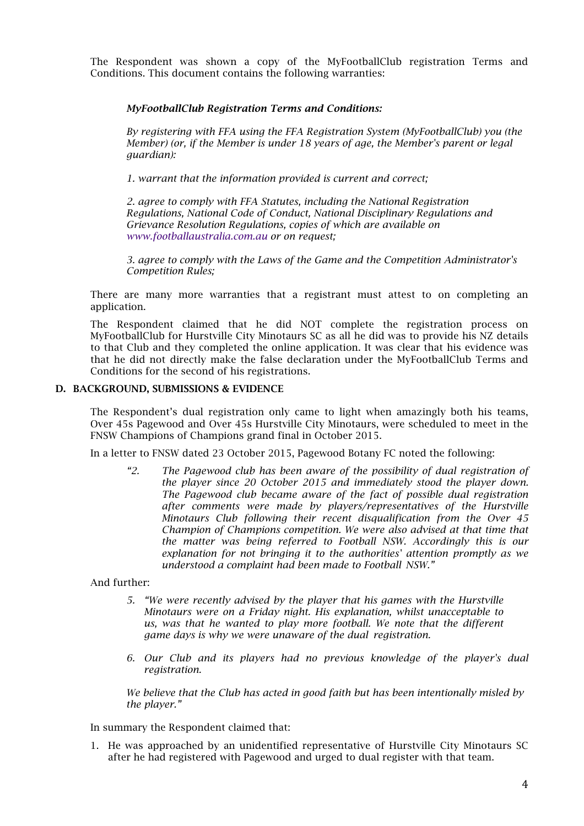The Respondent was shown a copy of the MyFootballClub registration Terms and Conditions. This document contains the following warranties:

#### *MyFootballClub Registration Terms and Conditions:*

*By registering with FFA using the FFA Registration System (MyFootballClub) you (the Member) (or, if the Member is under 18 years of age, the Member's parent or legal guardian):* 

*1. warrant that the information provided is current and correct;* 

*2. agree to comply with FFA Statutes, including the National Registration Regulations, National Code of Conduct, National Disciplinary Regulations and Grievance Resolution Regulations, copies of which are available on www.footballaustralia.com.au or on request;* 

*3. agree to comply with the Laws of the Game and the Competition Administrator's Competition Rules;* 

There are many more warranties that a registrant must attest to on completing an application.

The Respondent claimed that he did NOT complete the registration process on MyFootballClub for Hurstville City Minotaurs SC as all he did was to provide his NZ details to that Club and they completed the online application. It was clear that his evidence was that he did not directly make the false declaration under the MyFootballClub Terms and Conditions for the second of his registrations.

#### D. BACKGROUND, SUBMISSIONS & EVIDENCE

The Respondent's dual registration only came to light when amazingly both his teams, Over 45s Pagewood and Over 45s Hurstville City Minotaurs, were scheduled to meet in the FNSW Champions of Champions grand final in October 2015.

In a letter to FNSW dated 23 October 2015, Pagewood Botany FC noted the following:

*"2. The Pagewood club has been aware of the possibility of dual registration of the player since 20 October 2015 and immediately stood the player down. The Pagewood club became aware of the fact of possible dual registration after comments were made by players/representatives of the Hurstville Minotaurs Club following their recent disqualification from the Over 45 Champion of Champions competition. We were also advised at that time that the matter was being referred to Football NSW. Accordingly this is our explanation for not bringing it to the authorities' attention promptly as we understood a complaint had been made to Football NSW."*

#### And further:

- *5. "We were recently advised by the player that his games with the Hurstville Minotaurs were on a Friday night. His explanation, whilst unacceptable to*  us, was that he wanted to play more football. We note that the different *game days is why we were unaware of the dual registration.*
- *6. Our Club and its players had no previous knowledge of the player's dual registration.*

*We believe that the Club has acted in good faith but has been intentionally misled by the player."*

In summary the Respondent claimed that:

1. He was approached by an unidentified representative of Hurstville City Minotaurs SC after he had registered with Pagewood and urged to dual register with that team.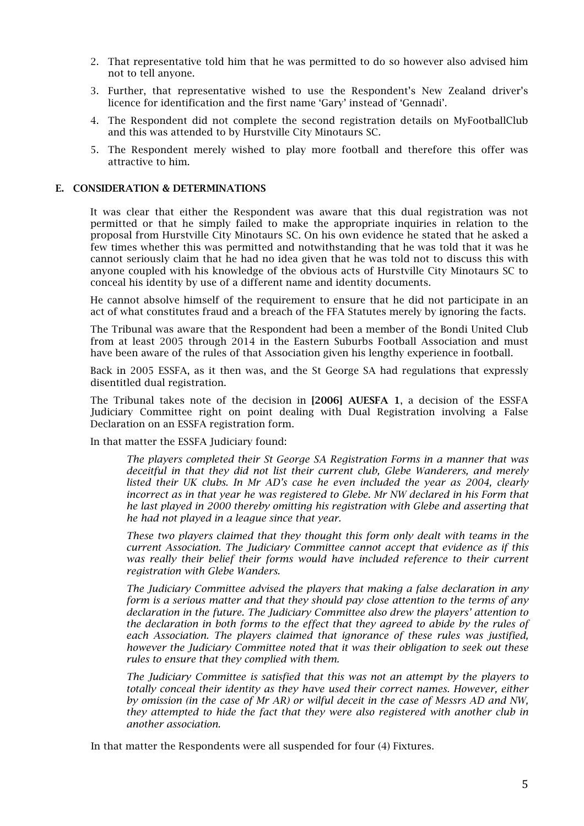- 2. That representative told him that he was permitted to do so however also advised him not to tell anyone.
- 3. Further, that representative wished to use the Respondent's New Zealand driver's licence for identification and the first name 'Gary' instead of 'Gennadi'.
- 4. The Respondent did not complete the second registration details on MyFootballClub and this was attended to by Hurstville City Minotaurs SC.
- 5. The Respondent merely wished to play more football and therefore this offer was attractive to him.

#### E. CONSIDERATION & DETERMINATIONS

It was clear that either the Respondent was aware that this dual registration was not permitted or that he simply failed to make the appropriate inquiries in relation to the proposal from Hurstville City Minotaurs SC. On his own evidence he stated that he asked a few times whether this was permitted and notwithstanding that he was told that it was he cannot seriously claim that he had no idea given that he was told not to discuss this with anyone coupled with his knowledge of the obvious acts of Hurstville City Minotaurs SC to conceal his identity by use of a different name and identity documents.

He cannot absolve himself of the requirement to ensure that he did not participate in an act of what constitutes fraud and a breach of the FFA Statutes merely by ignoring the facts.

The Tribunal was aware that the Respondent had been a member of the Bondi United Club from at least 2005 through 2014 in the Eastern Suburbs Football Association and must have been aware of the rules of that Association given his lengthy experience in football.

Back in 2005 ESSFA, as it then was, and the St George SA had regulations that expressly disentitled dual registration.

The Tribunal takes note of the decision in [2006] AUESFA 1, a decision of the ESSFA Judiciary Committee right on point dealing with Dual Registration involving a False Declaration on an ESSFA registration form.

In that matter the ESSFA Judiciary found:

*The players completed their St George SA Registration Forms in a manner that was deceitful in that they did not list their current club, Glebe Wanderers, and merely listed their UK clubs. In Mr AD's case he even included the year as 2004, clearly*  incorrect as in that year he was registered to Glebe. Mr NW declared in his Form that *he last played in 2000 thereby omitting his registration with Glebe and asserting that he had not played in a league since that year.* 

*These two players claimed that they thought this form only dealt with teams in the current Association. The Judiciary Committee cannot accept that evidence as if this*  was really their belief their forms would have included reference to their current *registration with Glebe Wanders.* 

*The Judiciary Committee advised the players that making a false declaration in any form is a serious matter and that they should pay close attention to the terms of any declaration in the future. The Judiciary Committee also drew the players' attention to the declaration in both forms to the effect that they agreed to abide by the rules of each Association. The players claimed that ignorance of these rules was justified, however the Judiciary Committee noted that it was their obligation to seek out these rules to ensure that they complied with them.* 

*The Judiciary Committee is satisfied that this was not an attempt by the players to totally conceal their identity as they have used their correct names. However, either by omission (in the case of Mr AR) or wilful deceit in the case of Messrs AD and NW, they attempted to hide the fact that they were also registered with another club in another association.* 

In that matter the Respondents were all suspended for four (4) Fixtures.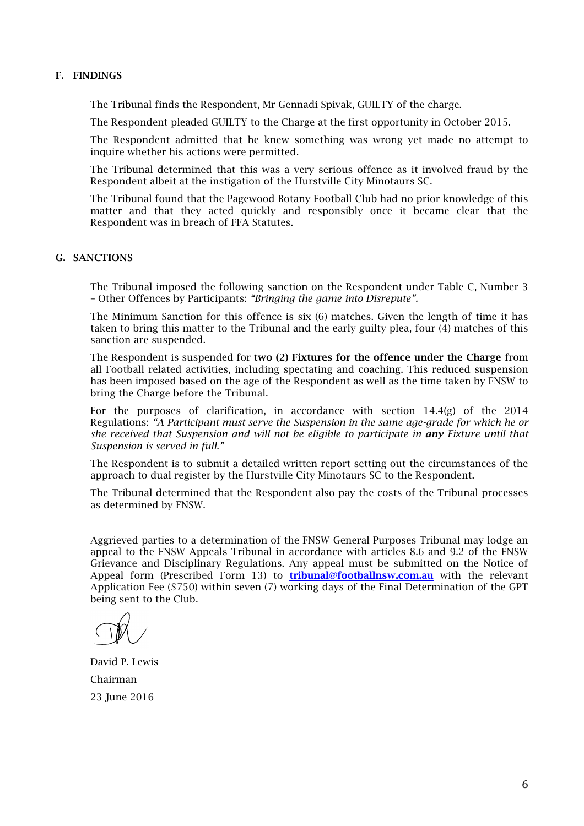#### F. FINDINGS

The Tribunal finds the Respondent, Mr Gennadi Spivak, GUILTY of the charge.

The Respondent pleaded GUILTY to the Charge at the first opportunity in October 2015.

The Respondent admitted that he knew something was wrong yet made no attempt to inquire whether his actions were permitted.

The Tribunal determined that this was a very serious offence as it involved fraud by the Respondent albeit at the instigation of the Hurstville City Minotaurs SC.

The Tribunal found that the Pagewood Botany Football Club had no prior knowledge of this matter and that they acted quickly and responsibly once it became clear that the Respondent was in breach of FFA Statutes.

#### G. SANCTIONS

The Tribunal imposed the following sanction on the Respondent under Table C, Number 3 – Other Offences by Participants: *"Bringing the game into Disrepute".*

The Minimum Sanction for this offence is six (6) matches. Given the length of time it has taken to bring this matter to the Tribunal and the early guilty plea, four (4) matches of this sanction are suspended.

The Respondent is suspended for two (2) Fixtures for the offence under the Charge from all Football related activities, including spectating and coaching. This reduced suspension has been imposed based on the age of the Respondent as well as the time taken by FNSW to bring the Charge before the Tribunal.

For the purposes of clarification, in accordance with section 14.4(g) of the 2014 Regulations: *"A Participant must serve the Suspension in the same age-grade for which he or she received that Suspension and will not be eligible to participate in any Fixture until that Suspension is served in full."*

The Respondent is to submit a detailed written report setting out the circumstances of the approach to dual register by the Hurstville City Minotaurs SC to the Respondent.

The Tribunal determined that the Respondent also pay the costs of the Tribunal processes as determined by FNSW.

Aggrieved parties to a determination of the FNSW General Purposes Tribunal may lodge an appeal to the FNSW Appeals Tribunal in accordance with articles 8.6 and 9.2 of the FNSW Grievance and Disciplinary Regulations. Any appeal must be submitted on the Notice of Appeal form (Prescribed Form 13) to **tribunal@footballnsw.com.au** with the relevant Application Fee (\$750) within seven (7) working days of the Final Determination of the GPT being sent to the Club.

David P. Lewis Chairman 23 June 2016